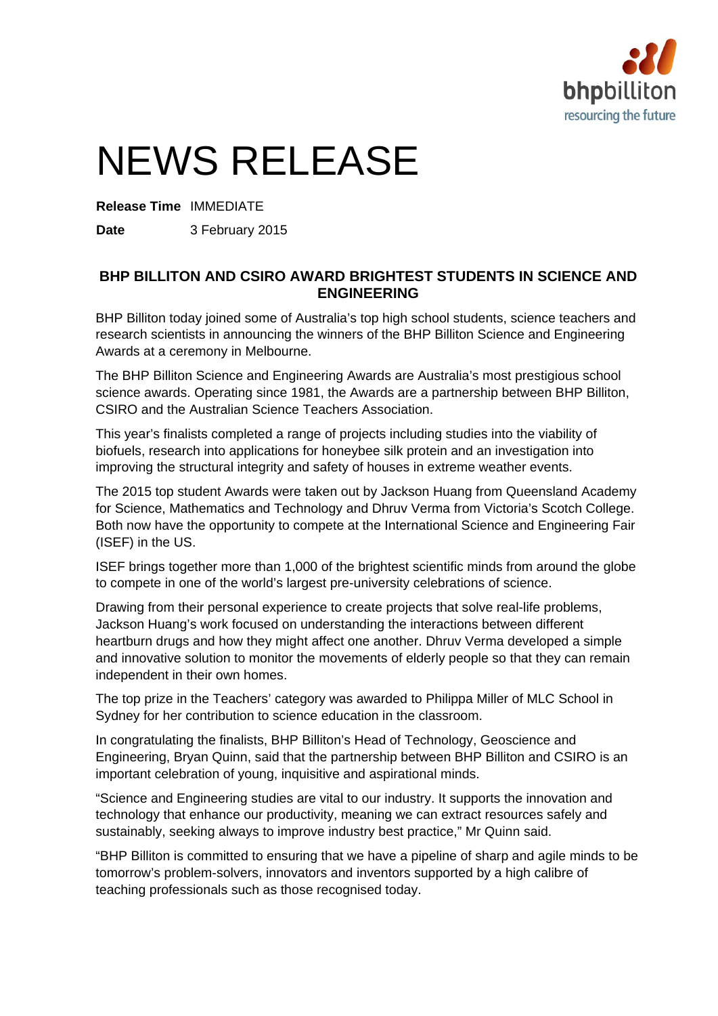

# NEWS RELEASE

**Release Time** IMMEDIATE

**Date** 3 February 2015

# **BHP BILLITON AND CSIRO AWARD BRIGHTEST STUDENTS IN SCIENCE AND ENGINEERING**

BHP Billiton today joined some of Australia's top high school students, science teachers and research scientists in announcing the winners of the BHP Billiton Science and Engineering Awards at a ceremony in Melbourne.

The BHP Billiton Science and Engineering Awards are Australia's most prestigious school science awards. Operating since 1981, the Awards are a partnership between BHP Billiton, CSIRO and the Australian Science Teachers Association.

This year's finalists completed a range of projects including studies into the viability of biofuels, research into applications for honeybee silk protein and an investigation into improving the structural integrity and safety of houses in extreme weather events.

The 2015 top student Awards were taken out by Jackson Huang from Queensland Academy for Science, Mathematics and Technology and Dhruv Verma from Victoria's Scotch College. Both now have the opportunity to compete at the International Science and Engineering Fair (ISEF) in the US.

ISEF brings together more than 1,000 of the brightest scientific minds from around the globe to compete in one of the world's largest pre-university celebrations of science.

Drawing from their personal experience to create projects that solve real-life problems, Jackson Huang's work focused on understanding the interactions between different heartburn drugs and how they might affect one another. Dhruv Verma developed a simple and innovative solution to monitor the movements of elderly people so that they can remain independent in their own homes.

The top prize in the Teachers' category was awarded to Philippa Miller of MLC School in Sydney for her contribution to science education in the classroom.

In congratulating the finalists, BHP Billiton's Head of Technology, Geoscience and Engineering, Bryan Quinn, said that the partnership between BHP Billiton and CSIRO is an important celebration of young, inquisitive and aspirational minds.

"Science and Engineering studies are vital to our industry. It supports the innovation and technology that enhance our productivity, meaning we can extract resources safely and sustainably, seeking always to improve industry best practice," Mr Quinn said.

"BHP Billiton is committed to ensuring that we have a pipeline of sharp and agile minds to be tomorrow's problem-solvers, innovators and inventors supported by a high calibre of teaching professionals such as those recognised today.